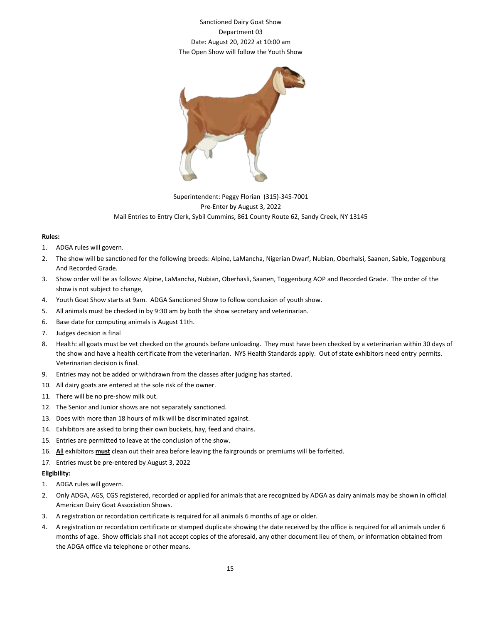## Sanctioned Dairy Goat Show Department 03 Date: August 20, 2022 at 10:00 am The Open Show will follow the Youth Show



## Superintendent: Peggy Florian (315)-345-7001 Pre-Enter by August 3, 2022 Mail Entries to Entry Clerk, Sybil Cummins, 861 County Route 62, Sandy Creek, NY 13145

## **Rules:**

- 1. ADGA rules will govern.
- 2. The show will be sanctioned for the following breeds: Alpine, LaMancha, Nigerian Dwarf, Nubian, Oberhalsi, Saanen, Sable, Toggenburg And Recorded Grade.
- 3. Show order will be as follows: Alpine, LaMancha, Nubian, Oberhasli, Saanen, Toggenburg AOP and Recorded Grade. The order of the show is not subject to change,
- 4. Youth Goat Show starts at 9am. ADGA Sanctioned Show to follow conclusion of youth show.
- 5. All animals must be checked in by 9:30 am by both the show secretary and veterinarian.
- 6. Base date for computing animals is August 11th.
- 7. Judges decision is final
- 8. Health: all goats must be vet checked on the grounds before unloading. They must have been checked by a veterinarian within 30 days of the show and have a health certificate from the veterinarian. NYS Health Standards apply. Out of state exhibitors need entry permits. Veterinarian decision is final.
- 9. Entries may not be added or withdrawn from the classes after judging has started.
- 10. All dairy goats are entered at the sole risk of the owner.
- 11. There will be no pre-show milk out.
- 12. The Senior and Junior shows are not separately sanctioned.
- 13. Does with more than 18 hours of milk will be discriminated against.
- 14. Exhibitors are asked to bring their own buckets, hay, feed and chains.
- 15. Entries are permitted to leave at the conclusion of the show.
- 16. **A**ll exhibitors **must** clean out their area before leaving the fairgrounds or premiums will be forfeited.
- 17. Entries must be pre-entered by August 3, 2022

## **Eligibility:**

- 1. ADGA rules will govern.
- 2. Only ADGA, AGS, CGS registered, recorded or applied for animals that are recognized by ADGA as dairy animals may be shown in official American Dairy Goat Association Shows.
- 3. A registration or recordation certificate is required for all animals 6 months of age or older.
- 4. A registration or recordation certificate or stamped duplicate showing the date received by the office is required for all animals under 6 months of age. Show officials shall not accept copies of the aforesaid, any other document lieu of them, or information obtained from the ADGA office via telephone or other means.